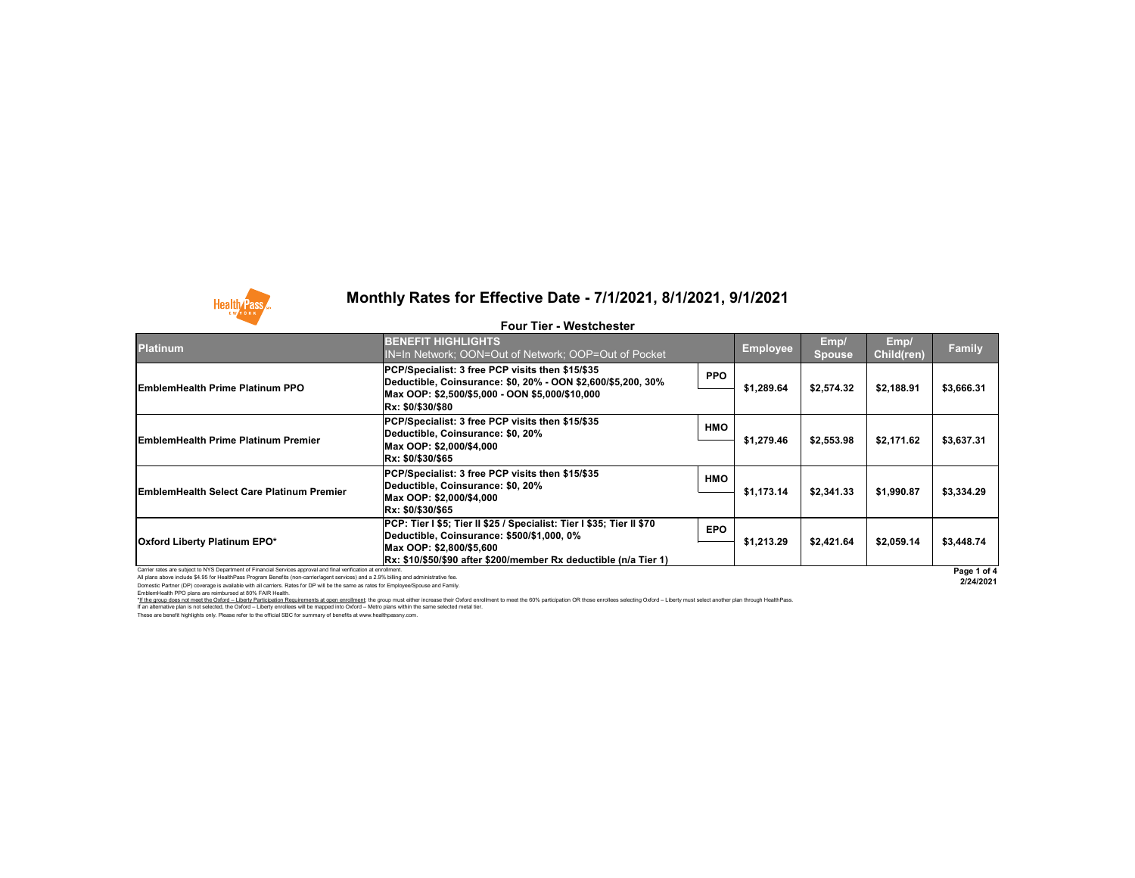All plans above include \$4.95 for HealthPass Program Benefits (non-carrier/agent services) and a 2.9% billing and administrative fee. Domestic Partner (DP) coverage is available with all carriers. Rates for DP will be the same as rates for Employee/Spouse and Family. EmblemHealth PPO plans are reimbursed at 80% FAIR Health.



# **Monthly Rates for Effective Date - 7/1/2021, 8/1/2021, 9/1/2021**

#### **Four Tier - Westchester**



**2/24/2021**

These are benefit highlights only. Please refer to the official SBC for summary of benefits at www.healthpassny.com. \*If the group does not meet the Oxford – Liberty Participation Requirements at open enrollment: the group must either increase their Oxford enrollment to meet the 60% participation OR those enrollees selecting Oxford – Lib If an alternative plan is not selected, the Oxford – Liberty enrollees will be mapped into Oxford – Metro plans within the same selected metal tier.

| <b>Platinum</b>                                                                                                  | <b>BENEFIT HIGHLIGHTS</b><br>IN=In Network; OON=Out of Network; OOP=Out of Pocket                                                                                                                                    |            | <b>Employee</b> | Emp/<br><b>Spouse</b> | Emp/<br>Child(ren) | <b>Family</b> |
|------------------------------------------------------------------------------------------------------------------|----------------------------------------------------------------------------------------------------------------------------------------------------------------------------------------------------------------------|------------|-----------------|-----------------------|--------------------|---------------|
| <b>EmblemHealth Prime Platinum PPO</b>                                                                           | PCP/Specialist: 3 free PCP visits then \$15/\$35<br> Deductible, Coinsurance: \$0, 20% - OON \$2,600/\$5,200, 30%<br>Max OOP: \$2,500/\$5,000 - OON \$5,000/\$10,000<br>Rx: \$0/\$30/\$80                            | <b>PPO</b> | \$1,289.64      | \$2,574.32            | \$2,188.91         | \$3,666.31    |
| <b>EmblemHealth Prime Platinum Premier</b>                                                                       | PCP/Specialist: 3 free PCP visits then \$15/\$35<br>Deductible, Coinsurance: \$0, 20%<br>Max OOP: \$2,000/\$4,000<br><b>Rx: \$0/\$30/\$65</b>                                                                        | <b>HMO</b> | \$1,279.46      | \$2,553.98            | \$2,171.62         | \$3,637.31    |
| <b>EmblemHealth Select Care Platinum Premier</b>                                                                 | PCP/Specialist: 3 free PCP visits then \$15/\$35<br>Deductible, Coinsurance: \$0, 20%<br>Max OOP: \$2,000/\$4,000<br><b>Rx: \$0/\$30/\$65</b>                                                                        | <b>HMO</b> | \$1,173.14      | \$2,341.33            | \$1,990.87         | \$3,334.29    |
| <b>Oxford Liberty Platinum EPO*</b>                                                                              | PCP: Tier I \$5; Tier II \$25 / Specialist: Tier I \$35; Tier II \$70<br>Deductible, Coinsurance: \$500/\$1,000, 0%<br>Max OOP: \$2,800/\$5,600<br> Rx: \$10/\$50/\$90 after \$200/member Rx deductible (n/a Tier 1) | <b>EPO</b> | \$1,213.29      | \$2,421.64            | \$2,059.14         | \$3,448.74    |
| Carrier rates are subject to NYS Department of Financial Services approval and final verification at enrollment. |                                                                                                                                                                                                                      |            |                 |                       |                    | Page 1 o      |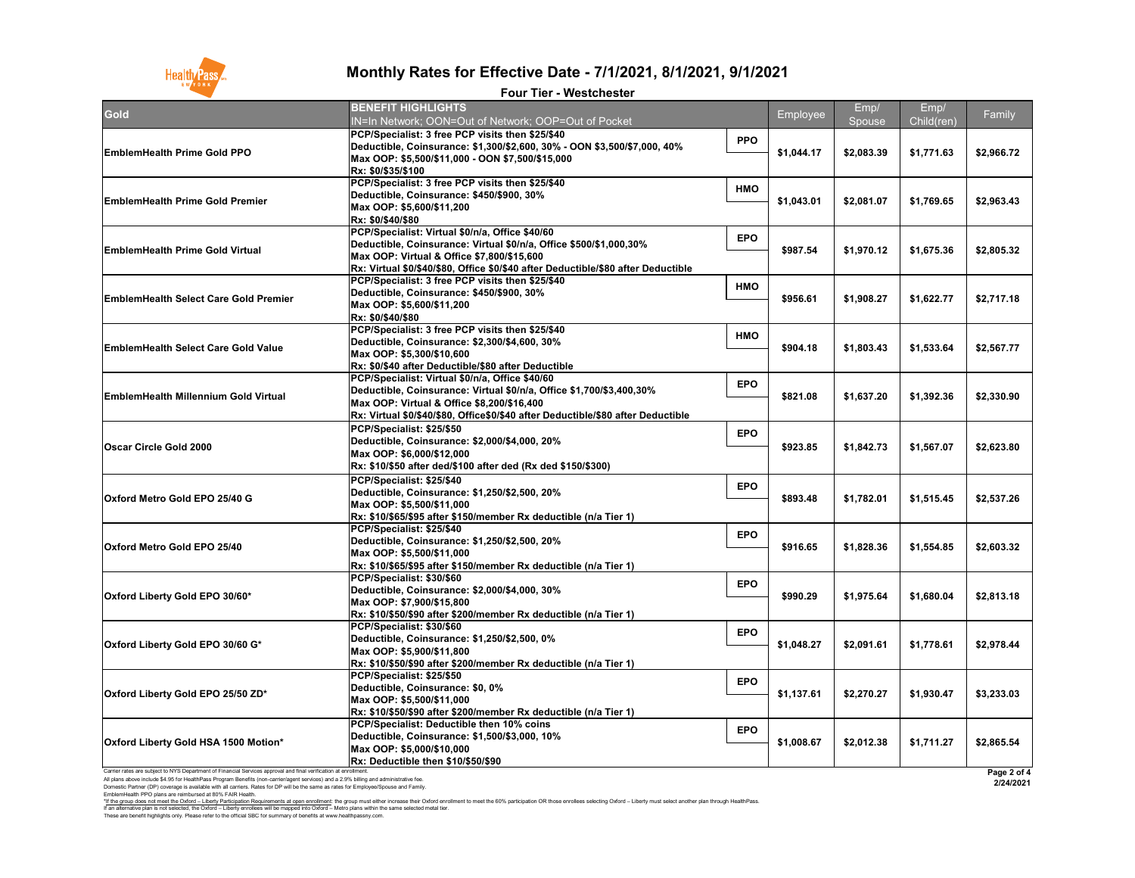EmblemHealth PPO plans are reimbursed at 80% FAIR Health.

These are benefit highlights only. Please refer to the official SBC for summary of benefits at www.healthpassny.com. \*If the group does not meet the Oxford – Liberty Participation Requirements at open enrollment: the group must either increase their Oxford enrollment to meet the 60% participation OR those enrollees selecting Oxford – Lib If an alternative plan is not selected, the Oxford – Liberty enrollees will be mapped into Oxford – Metro plans within the same selected metal tier.

| <b>Gold</b>                                                                                                                                                                                                                                                                                                                                                                                        | <b>BENEFIT HIGHLIGHTS</b><br>IN=In Network; OON=Out of Network; OOP=Out of Pocket                                                                                                                                                                             | Employee                 | Emp/<br>Spouse | Emp/<br>Child(ren) | Family                   |
|----------------------------------------------------------------------------------------------------------------------------------------------------------------------------------------------------------------------------------------------------------------------------------------------------------------------------------------------------------------------------------------------------|---------------------------------------------------------------------------------------------------------------------------------------------------------------------------------------------------------------------------------------------------------------|--------------------------|----------------|--------------------|--------------------------|
| <b>EmblemHealth Prime Gold PPO</b>                                                                                                                                                                                                                                                                                                                                                                 | PCP/Specialist: 3 free PCP visits then \$25/\$40<br> Deductible, Coinsurance: \$1,300/\$2,600, 30% - OON \$3,500/\$7,000, 40%<br> Max OOP: \$5,500/\$11,000 - OON \$7,500/\$15,000<br> Rx: \$0/\$35/\$100                                                     | <b>PPO</b><br>\$1,044.17 | \$2,083.39     | \$1,771.63         | \$2,966.72               |
| <b>EmblemHealth Prime Gold Premier</b>                                                                                                                                                                                                                                                                                                                                                             | PCP/Specialist: 3 free PCP visits then \$25/\$40<br>Deductible, Coinsurance: \$450/\$900, 30%<br>Max OOP: \$5,600/\$11,200<br><b>Rx: \$0/\$40/\$80</b>                                                                                                        | <b>HMO</b><br>\$1,043.01 | \$2,081.07     | \$1,769.65         | \$2,963.43               |
| <b>EmblemHealth Prime Gold Virtual</b>                                                                                                                                                                                                                                                                                                                                                             | PCP/Specialist: Virtual \$0/n/a, Office \$40/60<br> Deductible, Coinsurance: Virtual \$0/n/a, Office \$500/\$1,000,30%<br> Max OOP: Virtual & Office \$7,800/\$15,600  <br> Rx: Virtual \$0/\$40/\$80, Office \$0/\$40 after Deductible/\$80 after Deductible | <b>EPO</b><br>\$987.54   | \$1,970.12     | \$1,675.36         | \$2,805.32               |
| <b>EmblemHealth Select Care Gold Premier</b>                                                                                                                                                                                                                                                                                                                                                       | PCP/Specialist: 3 free PCP visits then \$25/\$40<br>Deductible, Coinsurance: \$450/\$900, 30%<br>Max OOP: \$5,600/\$11,200<br> Rx: \$0/\$40/\$80                                                                                                              | <b>HMO</b><br>\$956.61   | \$1,908.27     | \$1,622.77         | \$2,717.18               |
| <b>EmblemHealth Select Care Gold Value</b>                                                                                                                                                                                                                                                                                                                                                         | PCP/Specialist: 3 free PCP visits then \$25/\$40<br>Deductible, Coinsurance: \$2,300/\$4,600, 30%<br> Max OOP: \$5,300/\$10,600<br>Rx: \$0/\$40 after Deductible/\$80 after Deductible                                                                        | <b>HMO</b><br>\$904.18   | \$1,803.43     | \$1,533.64         | \$2,567.77               |
| <b>EmblemHealth Millennium Gold Virtual</b>                                                                                                                                                                                                                                                                                                                                                        | PCP/Specialist: Virtual \$0/n/a, Office \$40/60<br> Deductible, Coinsurance: Virtual \$0/n/a, Office \$1,700/\$3,400,30%<br> Max OOP: Virtual & Office \$8,200/\$16,400<br> Rx: Virtual \$0/\$40/\$80, Office\$0/\$40 after Deductible/\$80 after Deductible  | <b>EPO</b><br>\$821.08   | \$1,637.20     | \$1,392.36         | \$2,330.90               |
| <b>Oscar Circle Gold 2000</b>                                                                                                                                                                                                                                                                                                                                                                      | PCP/Specialist: \$25/\$50<br><b>Deductible, Coinsurance: \$2,000/\$4,000, 20%</b><br>Max OOP: \$6,000/\$12,000 <br> Rx: \$10/\$50 after ded/\$100 after ded (Rx ded \$150/\$300)                                                                              | <b>EPO</b><br>\$923.85   | \$1,842.73     | \$1,567.07         | \$2,623.80               |
| Oxford Metro Gold EPO 25/40 G                                                                                                                                                                                                                                                                                                                                                                      | PCP/Specialist: \$25/\$40<br>Deductible, Coinsurance: \$1,250/\$2,500, 20%<br>Max OOP: \$5,500/\$11,000 <br> Rx: \$10/\$65/\$95                                  after \$150/member Rx deductible (n/a Tier 1)                                                | <b>EPO</b><br>\$893.48   | \$1,782.01     | \$1,515.45         | \$2,537.26               |
| <b>Oxford Metro Gold EPO 25/40</b>                                                                                                                                                                                                                                                                                                                                                                 | PCP/Specialist: \$25/\$40<br> Deductible, Coinsurance: \$1,250/\$2,500, 20%<br>Max OOP: \$5,500/\$11,000 <br> Rx: \$10/\$65/\$95 after \$150/member Rx deductible (n/a Tier 1)                                                                                | <b>EPO</b><br>\$916.65   | \$1,828.36     | \$1,554.85         | \$2,603.32               |
| Oxford Liberty Gold EPO 30/60*                                                                                                                                                                                                                                                                                                                                                                     | PCP/Specialist: \$30/\$60<br> Deductible, Coinsurance: \$2,000/\$4,000, 30%<br>Max OOP: \$7,900/\$15,800<br> Rx: \$10/\$50/\$90 after \$200/member Rx deductible (n/a Tier 1)                                                                                 | <b>EPO</b><br>\$990.29   | \$1,975.64     | \$1,680.04         | \$2,813.18               |
| Oxford Liberty Gold EPO 30/60 G*                                                                                                                                                                                                                                                                                                                                                                   | PCP/Specialist: \$30/\$60 <br> Deductible, Coinsurance: \$1,250/\$2,500, 0%<br>Max OOP: \$5,900/\$11,800 <br> Rx: \$10/\$50/\$90 after \$200/member Rx deductible (n/a Tier 1)                                                                                | <b>EPO</b><br>\$1,048.27 | \$2,091.61     | \$1,778.61         | \$2,978.44               |
| Oxford Liberty Gold EPO 25/50 ZD*                                                                                                                                                                                                                                                                                                                                                                  | PCP/Specialist: \$25/\$50<br> Deductible, Coinsurance: \$0, 0%<br>Max OOP: \$5,500/\$11,000<br> Rx: \$10/\$50/\$90 after \$200/member Rx deductible (n/a Tier 1)                                                                                              | <b>EPO</b><br>\$1,137.61 | \$2,270.27     | \$1,930.47         | \$3,233.03               |
| <b>Oxford Liberty Gold HSA 1500 Motion*</b>                                                                                                                                                                                                                                                                                                                                                        | <b>PCP/Specialist: Deductible then 10% coins</b><br> Deductible, Coinsurance: \$1,500/\$3,000, 10%<br> Max OOP: \$5,000/\$10,000<br>Rx: Deductible then \$10/\$50/\$90                                                                                        | <b>EPO</b><br>\$1,008.67 | \$2,012.38     | \$1,711.27         | \$2,865.54               |
| Carrier rates are subject to NYS Department of Financial Services approval and final verification at enrollment<br>All plans above include \$4.95 for HealthPass Program Benefits (non-carrier/agent services) and a 2.9% billing and administrative fee.<br>Domestic Partner (DP) coverage is available with all carriers. Rates for DP will be the same as rates for Employee/Spouse and Family. |                                                                                                                                                                                                                                                               |                          |                |                    | Page 2 of 4<br>2/24/2021 |



# **Monthly Rates for Effective Date - 7/1/2021, 8/1/2021, 9/1/2021**

#### **Four Tier - Westchester**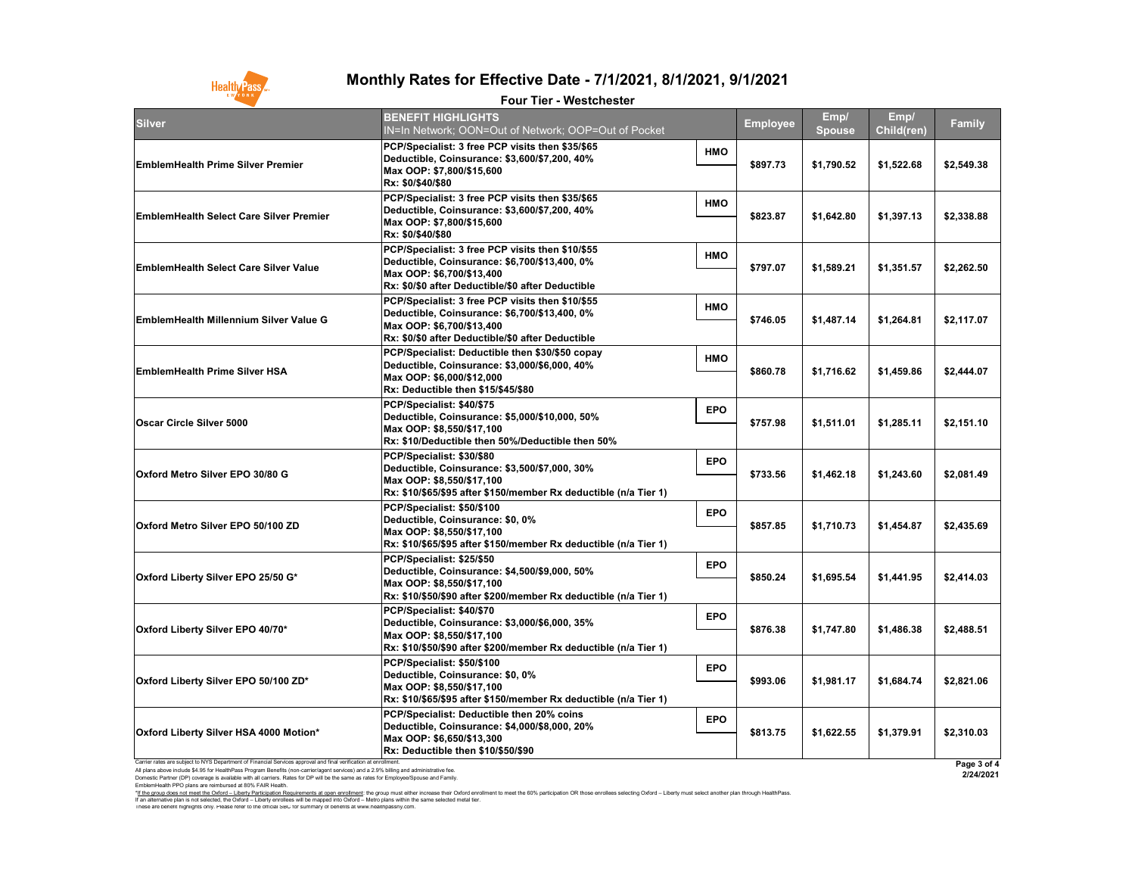Carrier rates are subject to NYS Department of Financial Services approval and final verification at enrollment.

Domestic Partner (DP) coverage is available with all carriers. Rates for DP will be the same as rates for Employee/Spouse and Family.

EmblemHealth PPO plans are reimbursed at 80% FAIR Health.

These are benefit highlights only. Please refer to the official SBC for summary of benefits at www.healthpassny.com. \*If the group does not meet the Oxford - Liberty Participation Requirements at open enrollment: the group must either increase their Oxford enrollment to meet the 60% participation OR those enrollees selecting Oxford - Lib If an alternative plan is not selected, the Oxford – Liberty enrollees will be mapped into Oxford – Metro plans within the same selected metal tier.

**Page 3 of 4**

**2/24/2021**



### **Monthly Rates for Effective Date - 7/1/2021, 8/1/2021, 9/1/2021**

| Silver                                         | <b>BENEFIT HIGHLIGHTS</b><br>IN=In Network; OON=Out of Network; OOP=Out of Pocket                                                                                                                             |            | <b>Employee</b> | Emp/<br><b>Spouse</b> | Emp/<br><b>Child(ren)</b> | <b>Family</b> |
|------------------------------------------------|---------------------------------------------------------------------------------------------------------------------------------------------------------------------------------------------------------------|------------|-----------------|-----------------------|---------------------------|---------------|
| <b>EmblemHealth Prime Silver Premier</b>       | PCP/Specialist: 3 free PCP visits then \$35/\$65<br>Deductible, Coinsurance: \$3,600/\$7,200, 40%<br>Max OOP: \$7,800/\$15,600<br><b>Rx: \$0/\$40/\$80</b>                                                    | <b>HMO</b> | \$897.73        | \$1,790.52            | \$1,522.68                | \$2,549.38    |
| <b>EmblemHealth Select Care Silver Premier</b> | PCP/Specialist: 3 free PCP visits then \$35/\$65<br>Deductible, Coinsurance: \$3,600/\$7,200, 40%<br>Max OOP: \$7,800/\$15,600<br> Rx: \$0/\$40/\$80                                                          | <b>HMO</b> | \$823.87        | \$1,642.80            | \$1,397.13                | \$2,338.88    |
| <b>EmblemHealth Select Care Silver Value</b>   | PCP/Specialist: 3 free PCP visits then \$10/\$55<br>Deductible, Coinsurance: \$6,700/\$13,400, 0%<br>Max OOP: \$6,700/\$13,400<br>Rx: \$0/\$0 after Deductible/\$0 after Deductible                           | <b>HMO</b> | \$797.07        | \$1,589.21            | \$1,351.57                | \$2,262.50    |
| <b>EmblemHealth Millennium Silver Value G</b>  | PCP/Specialist: 3 free PCP visits then \$10/\$55<br>Deductible, Coinsurance: \$6,700/\$13,400, 0%<br>Max OOP: \$6,700/\$13,400<br>Rx: \$0/\$0 after Deductible/\$0 after Deductible                           | <b>HMO</b> | \$746.05        | \$1,487.14            | \$1,264.81                | \$2,117.07    |
| <b>EmblemHealth Prime Silver HSA</b>           | PCP/Specialist: Deductible then \$30/\$50 copay<br>Deductible, Coinsurance: \$3,000/\$6,000, 40%<br>Max OOP: \$6,000/\$12,000<br>Rx: Deductible then \$15/\$45/\$80                                           | <b>HMO</b> | \$860.78        | \$1,716.62            | \$1,459.86                | \$2,444.07    |
| <b>Oscar Circle Silver 5000</b>                | PCP/Specialist: \$40/\$75<br>Deductible, Coinsurance: \$5,000/\$10,000, 50%<br>Max OOP: \$8,550/\$17,100<br>Rx: \$10/Deductible then 50%/Deductible then 50%                                                  | <b>EPO</b> | \$757.98        | \$1,511.01            | \$1,285.11                | \$2,151.10    |
| <b>Oxford Metro Silver EPO 30/80 G</b>         | PCP/Specialist: \$30/\$80<br>Deductible, Coinsurance: \$3,500/\$7,000, 30%<br>Max OOP: \$8,550/\$17,100<br> Rx: \$10/\$65/\$95                                  after \$150/member Rx deductible (n/a Tier 1) | <b>EPO</b> | \$733.56        | \$1,462.18            | \$1,243.60                | \$2,081.49    |
| <b>Oxford Metro Silver EPO 50/100 ZD</b>       | PCP/Specialist: \$50/\$100<br>Deductible, Coinsurance: \$0, 0%<br>Max OOP: \$8,550/\$17,100<br>Rx: \$10/\$65/\$95 after \$150/member Rx deductible (n/a Tier 1)                                               | <b>EPO</b> | \$857.85        | \$1,710.73            | \$1,454.87                | \$2,435.69    |
| Oxford Liberty Silver EPO 25/50 G*             | PCP/Specialist: \$25/\$50<br>Deductible, Coinsurance: \$4,500/\$9,000, 50%<br>Max OOP: \$8,550/\$17,100<br> Rx: \$10/\$50/\$90 after \$200/member Rx deductible (n/a Tier 1)_                                 | <b>EPO</b> | \$850.24        | \$1,695.54            | \$1,441.95                | \$2,414.03    |
| Oxford Liberty Silver EPO 40/70*               | PCP/Specialist: \$40/\$70<br>Deductible, Coinsurance: \$3,000/\$6,000, 35%<br>Max OOP: \$8,550/\$17,100 <br> Rx: \$10/\$50/\$90 after \$200/member Rx deductible (n/a Tier 1)                                 | <b>EPO</b> | \$876.38        | \$1,747.80            | \$1,486.38                | \$2,488.51    |
| Oxford Liberty Silver EPO 50/100 ZD*           | PCP/Specialist: \$50/\$100<br>Deductible, Coinsurance: \$0, 0%<br>Max OOP: \$8,550/\$17,100<br> Rx: \$10/\$65/\$95                                  after \$150/member Rx deductible (n/a Tier 1)             | <b>EPO</b> | \$993.06        | \$1,981.17            | \$1,684.74                | \$2,821.06    |
| <b>Oxford Liberty Silver HSA 4000 Motion*</b>  | <b>PCP/Specialist: Deductible then 20% coins</b><br>Deductible, Coinsurance: \$4,000/\$8,000, 20%<br>Max OOP: \$6,650/\$13,300<br>Rx: Deductible then \$10/\$50/\$90                                          | <b>EPO</b> | \$813.75        | \$1,622.55            | \$1,379.91                | \$2,310.03    |

#### **Four Tier - Westchester**

All plans above include \$4.95 for HealthPass Program Benefits (non-carrier/agent services) and a 2.9% billing and administrative fee.